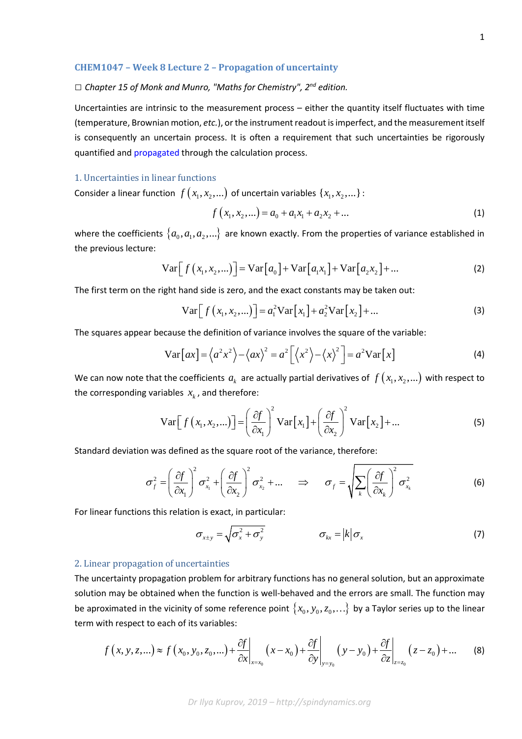#### **CHEM1047 – Week 8 Lecture 2 – Propagation of uncertainty**

# *□ Chapter 15 of Monk and Munro, "Maths for Chemistry", 2nd edition.*

Uncertainties are intrinsic to the measurement process – either the quantity itself fluctuates with time (temperature, Brownian motion, *etc.*), or the instrument readout is imperfect, and the measurement itself is consequently an uncertain process. It is often a requirement that such uncertainties be rigorously quantified and [propagated](https://en.wikipedia.org/wiki/Propagation_of_uncertainty) through the calculation process.

# 1. Uncertainties in linear functions

Consider a linear function  $f(x_1, x_2, ...)$  of uncertain variables  $\{x_1, x_2, ...\}$ :

$$
f(x_1, x_2,...) = a_0 + a_1 x_1 + a_2 x_2 + ... \tag{1}
$$

where the coefficients  $\{a_0, a_1, a_2, ...\}$  are known exactly. From the properties of variance established in the previous lecture:

$$
\operatorname{Var}\Big[f\left(x_1, x_2, \ldots\right)\Big] = \operatorname{Var}\big[a_0\big] + \operatorname{Var}\big[a_1 x_1\big] + \operatorname{Var}\big[a_2 x_2\big] + \ldots\tag{2}
$$

The first term on the right hand side is zero, and the exact constants may be taken out:

$$
Var[f(x_1, x_2,...)] = a_1^2 Var[x_1] + a_2^2 Var[x_2] + ...
$$
 (3)

The squares appear because the definition of variance involves the square of the variable:

$$
\text{Var}\left[ax\right] = \left\langle a^2x^2 \right\rangle - \left\langle ax \right\rangle^2 = a^2 \left[ \left\langle x^2 \right\rangle - \left\langle x \right\rangle^2 \right] = a^2 \text{Var}\left[x\right]
$$
\n(4)

We can now note that the coefficients  $a_k$  are actually partial derivatives of  $f(x_1, x_2,...)$  with respect to the corresponding variables  $x_k$ , and therefore:

$$
\operatorname{Var}\Big[f\left(x_1, x_2, \ldots\right)\Big] = \left(\frac{\partial f}{\partial x_1}\right)^2 \operatorname{Var}\Big[x_1\Big] + \left(\frac{\partial f}{\partial x_2}\right)^2 \operatorname{Var}\Big[x_2\Big] + \ldots
$$
 (5)

Standard deviation was defined as the square root of the variance, therefore:

$$
\sigma_f^2 = \left(\frac{\partial f}{\partial x_1}\right)^2 \sigma_{x_1}^2 + \left(\frac{\partial f}{\partial x_2}\right)^2 \sigma_{x_2}^2 + \dots \quad \Rightarrow \quad \sigma_f = \sqrt{\sum_k \left(\frac{\partial f}{\partial x_k}\right)^2 \sigma_{x_k}^2} \tag{6}
$$

For linear functions this relation is exact, in particular:

$$
\sigma_{x\pm y} = \sqrt{\sigma_x^2 + \sigma_y^2} \qquad \qquad \sigma_{kx} = |k|\sigma_x \qquad (7)
$$

### 2. Linear propagation of uncertainties

The uncertainty propagation problem for arbitrary functions has no general solution, but an approximate solution may be obtained when the function is well-behaved and the errors are small. The function may be aproximated in the vicinity of some reference point  $\{x_0, y_0, z_0, ...\}$  by a Taylor series up to the linear term with respect to each of its variables:

$$
f(x, y, z, \ldots) \approx f(x_0, y_0, z_0, \ldots) + \frac{\partial f}{\partial x}\bigg|_{x=x_0} (x - x_0) + \frac{\partial f}{\partial y}\bigg|_{y=y_0} (y - y_0) + \frac{\partial f}{\partial z}\bigg|_{z=z_0} (z - z_0) + \ldots
$$
 (8)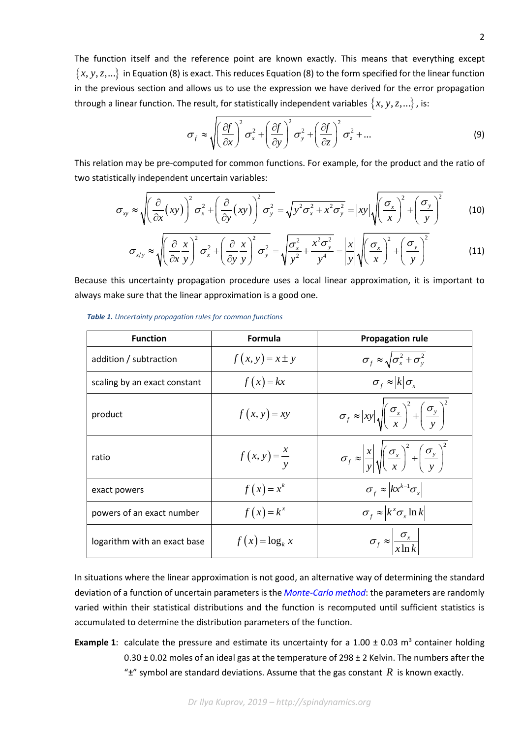The function itself and the reference point are known exactly. This means that everything except  ${x, y, z,...}$  in Equation (8) is exact. This reduces Equation (8) to the form specified for the linear function in the previous section and allows us to use the expression we have derived for the error propagation through a linear function. The result, for statistically independent variables  $\{x, y, z, ...\}$ , is:

$$
\sigma_f \approx \sqrt{\left(\frac{\partial f}{\partial x}\right)^2 \sigma_x^2 + \left(\frac{\partial f}{\partial y}\right)^2 \sigma_y^2 + \left(\frac{\partial f}{\partial z}\right)^2 \sigma_z^2 + \dots}
$$
 (9)

This relation may be pre-computed for common functions. For example, for the product and the ratio of two statistically independent uncertain variables:

$$
\sigma_{xy} \approx \sqrt{\left(\frac{\partial}{\partial x}(xy)\right)^2 \sigma_x^2 + \left(\frac{\partial}{\partial y}(xy)\right)^2 \sigma_y^2} = \sqrt{y^2 \sigma_x^2 + x^2 \sigma_y^2} = |xy| \sqrt{\left(\frac{\sigma_x}{x}\right)^2 + \left(\frac{\sigma_y}{y}\right)^2}
$$
(10)

$$
\sigma_{x/y} \approx \sqrt{\left(\frac{\partial}{\partial x}\frac{x}{y}\right)^2 \sigma_x^2 + \left(\frac{\partial}{\partial y}\frac{x}{y}\right)^2 \sigma_y^2} = \sqrt{\frac{\sigma_x^2}{y^2} + \frac{x^2 \sigma_y^2}{y^4}} = \left|\frac{x}{y}\right| \sqrt{\left(\frac{\sigma_x}{x}\right)^2 + \left(\frac{\sigma_y}{y}\right)^2}
$$
(11)

Because this uncertainty propagation procedure uses a local linear approximation, it is important to always make sure that the linear approximation is a good one.

| <b>Function</b>              | Formula                 | <b>Propagation rule</b>                                                                                                        |
|------------------------------|-------------------------|--------------------------------------------------------------------------------------------------------------------------------|
| addition / subtraction       | $f(x, y) = x \pm y$     | $\sigma_f \approx \sqrt{\sigma_x^2 + \sigma_y^2}$                                                                              |
| scaling by an exact constant | $f(x) = kx$             | $\sigma_f \approx  k  \sigma_x$                                                                                                |
| product                      | $f(x, y) = xy$          | $\sigma_f \approx  xy  \sqrt{\left(\frac{\sigma_x}{x}\right)^2 + \left(\frac{\sigma_y}{y}\right)^2}$                           |
| ratio                        | $f(x, y) = \frac{x}{y}$ | $\sigma_f \approx \left  \frac{x}{v} \right  \sqrt{\left( \frac{\sigma_x}{x} \right)^2 + \left( \frac{\sigma_y}{v} \right)^2}$ |
| exact powers                 | $f(x) = x^k$            | $\sigma_f \approx \left  kx^{k-1} \sigma_x \right $                                                                            |
| powers of an exact number    | $f(x) = k^x$            | $\sigma_f \approx \left  k^x \sigma_x \ln k \right $                                                                           |
| logarithm with an exact base | $f(x) = \log_k x$       | $\sigma_f \approx \left  \frac{\sigma_x}{x \ln k} \right $                                                                     |

*Table 1. Uncertainty propagation rules for common functions*

In situations where the linear approximation is not good, an alternative way of determining the standard deviation of a function of uncertain parameters is the *[Monte-Carlo method](https://en.wikipedia.org/wiki/Monte_Carlo_method)*: the parameters are randomly varied within their statistical distributions and the function is recomputed until sufficient statistics is accumulated to determine the distribution parameters of the function.

**Example 1:** calculate the pressure and estimate its uncertainty for a 1.00  $\pm$  0.03 m<sup>3</sup> container holding  $0.30 \pm 0.02$  moles of an ideal gas at the temperature of 298  $\pm$  2 Kelvin. The numbers after the " $\pm$ " symbol are standard deviations. Assume that the gas constant *R* is known exactly.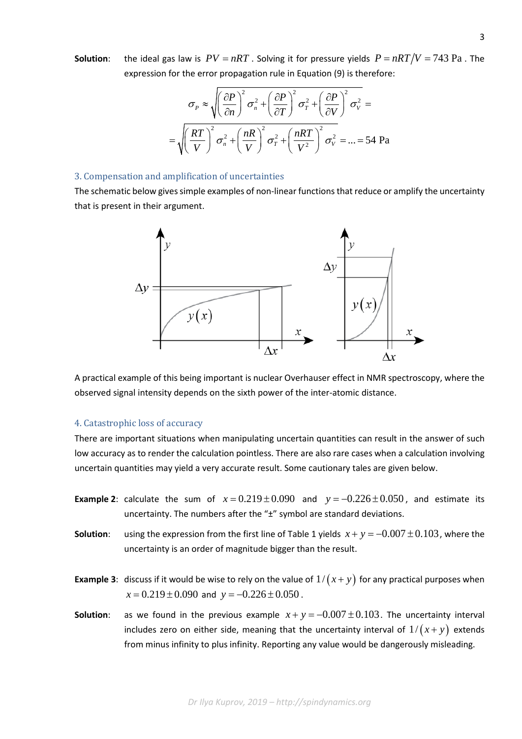**Solution:** the ideal gas law is  $PV = nRT$ . Solving it for pressure yields  $P = nRT/V = 743$  Pa. The expression for the error propagation rule in Equation (9) is therefore:

$$
\sigma_P \approx \sqrt{\left(\frac{\partial P}{\partial n}\right)^2 \sigma_n^2 + \left(\frac{\partial P}{\partial T}\right)^2 \sigma_T^2 + \left(\frac{\partial P}{\partial V}\right)^2 \sigma_V^2} =
$$

$$
= \sqrt{\left(\frac{RT}{V}\right)^2 \sigma_n^2 + \left(\frac{nR}{V}\right)^2 \sigma_T^2 + \left(\frac{nRT}{V^2}\right)^2 \sigma_V^2} = ... = 54 \text{ Pa}
$$

### 3. Compensation and amplification of uncertainties

The schematic below gives simple examples of non-linear functions that reduce or amplify the uncertainty that is present in their argument.



A practical example of this being important is nuclear Overhauser effect in NMR spectroscopy, where the observed signal intensity depends on the sixth power of the inter-atomic distance.

#### 4. Catastrophic loss of accuracy

There are important situations when manipulating uncertain quantities can result in the answer of such low accuracy as to render the calculation pointless. There are also rare cases when a calculation involving uncertain quantities may yield a very accurate result. Some cautionary tales are given below.

- **Example 2**: calculate the sum of  $x = 0.219 \pm 0.090$  and  $y = -0.226 \pm 0.050$ , and estimate its uncertainty. The numbers after the "±" symbol are standard deviations.
- **Solution**: using the expression from the first line of Table 1 yields  $x + y = -0.007 \pm 0.103$ , where the uncertainty is an order of magnitude bigger than the result.
- **Example 3**: discuss if it would be wise to rely on the value of  $1/(x + y)$  for any practical purposes when  $x = 0.219 \pm 0.090$  and  $y = -0.226 \pm 0.050$ .
- **Solution:** as we found in the previous example  $x + y = -0.007 \pm 0.103$ . The uncertainty interval includes zero on either side, meaning that the uncertainty interval of  $1/(x+y)$  extends from minus infinity to plus infinity. Reporting any value would be dangerously misleading.